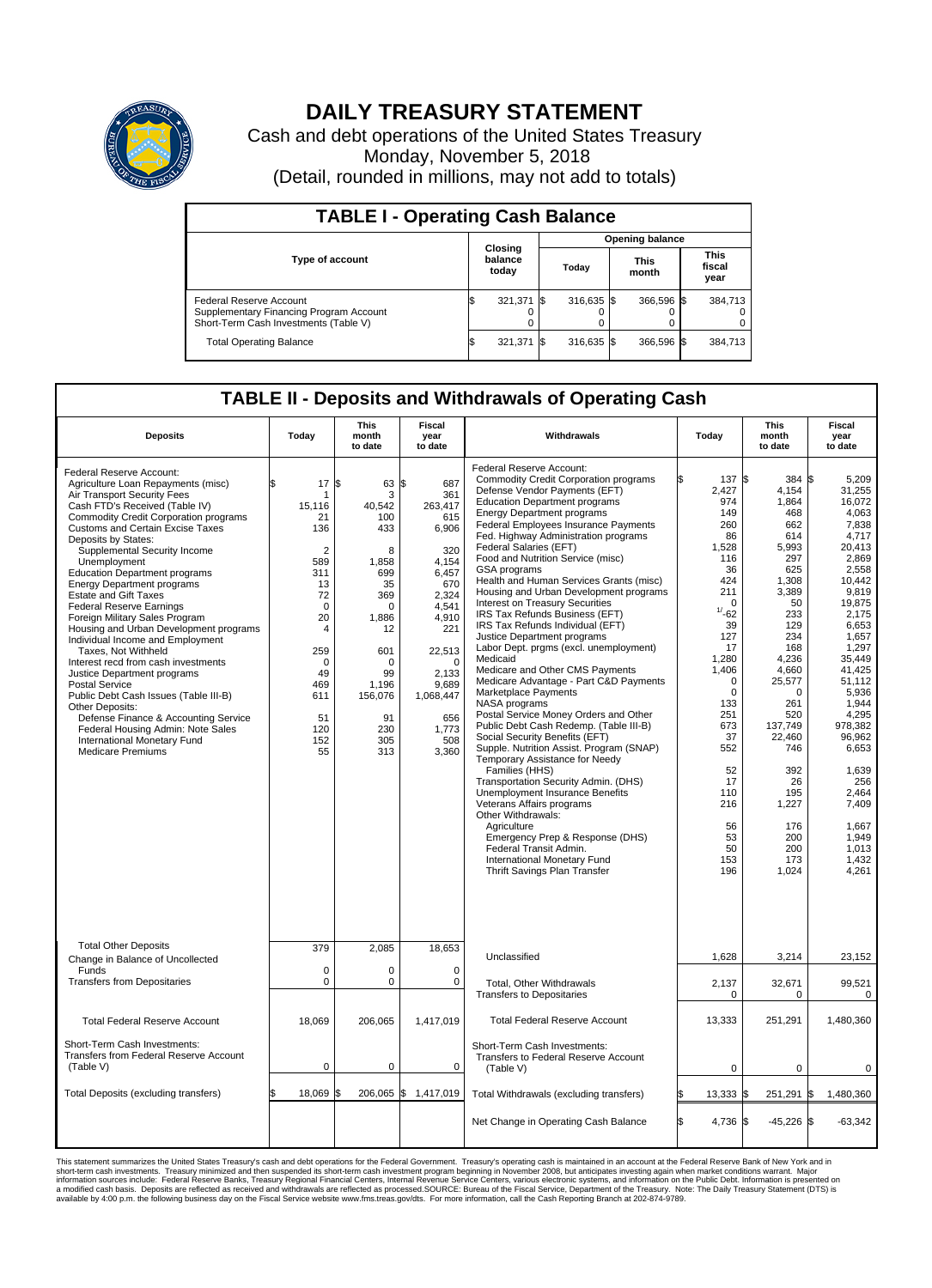

## **DAILY TREASURY STATEMENT**

Cash and debt operations of the United States Treasury Monday, November 5, 2018 (Detail, rounded in millions, may not add to totals)

| <b>TABLE I - Operating Cash Balance</b>                                                                     |  |                             |  |                        |  |                      |  |                               |  |  |  |
|-------------------------------------------------------------------------------------------------------------|--|-----------------------------|--|------------------------|--|----------------------|--|-------------------------------|--|--|--|
|                                                                                                             |  |                             |  | <b>Opening balance</b> |  |                      |  |                               |  |  |  |
| <b>Type of account</b>                                                                                      |  | Closing<br>balance<br>today |  | Todav                  |  | <b>This</b><br>month |  | <b>This</b><br>fiscal<br>year |  |  |  |
| Federal Reserve Account<br>Supplementary Financing Program Account<br>Short-Term Cash Investments (Table V) |  | 321,371                     |  | 316,635 \$             |  | 366,596 \$           |  | 384,713                       |  |  |  |
| <b>Total Operating Balance</b>                                                                              |  | 321,371                     |  | 316,635 \$             |  | 366,596 \$           |  | 384,713                       |  |  |  |

## **TABLE II - Deposits and Withdrawals of Operating Cash**

| <b>Deposits</b>                                                                                                                                                                                                                                                                                                                                                                                                                                                                                                                                                                                                                                                                                                                                                                                                                                                                             | Today                                                                                                                                                                         | <b>This</b><br>month<br>to date                                                                                                                                             | <b>Fiscal</b><br>year<br>to date                                                                                                                                                                      | Withdrawals                                                                                                                                                                                                                                                                                                                                                                                                                                                                                                                                                                                                                                                                                                                                                                                                                                                                                                                                                                                                                                                                                                                                                                                                                                                         | Today                                                                                                                                                                                                                                                       | <b>This</b><br>month<br>to date                                                                                                                                                                                                                                    | <b>Fiscal</b><br>year<br>to date                                                                                                                                                                                                                                                                                               |  |  |
|---------------------------------------------------------------------------------------------------------------------------------------------------------------------------------------------------------------------------------------------------------------------------------------------------------------------------------------------------------------------------------------------------------------------------------------------------------------------------------------------------------------------------------------------------------------------------------------------------------------------------------------------------------------------------------------------------------------------------------------------------------------------------------------------------------------------------------------------------------------------------------------------|-------------------------------------------------------------------------------------------------------------------------------------------------------------------------------|-----------------------------------------------------------------------------------------------------------------------------------------------------------------------------|-------------------------------------------------------------------------------------------------------------------------------------------------------------------------------------------------------|---------------------------------------------------------------------------------------------------------------------------------------------------------------------------------------------------------------------------------------------------------------------------------------------------------------------------------------------------------------------------------------------------------------------------------------------------------------------------------------------------------------------------------------------------------------------------------------------------------------------------------------------------------------------------------------------------------------------------------------------------------------------------------------------------------------------------------------------------------------------------------------------------------------------------------------------------------------------------------------------------------------------------------------------------------------------------------------------------------------------------------------------------------------------------------------------------------------------------------------------------------------------|-------------------------------------------------------------------------------------------------------------------------------------------------------------------------------------------------------------------------------------------------------------|--------------------------------------------------------------------------------------------------------------------------------------------------------------------------------------------------------------------------------------------------------------------|--------------------------------------------------------------------------------------------------------------------------------------------------------------------------------------------------------------------------------------------------------------------------------------------------------------------------------|--|--|
| Federal Reserve Account:<br>Agriculture Loan Repayments (misc)<br>Air Transport Security Fees<br>Cash FTD's Received (Table IV)<br><b>Commodity Credit Corporation programs</b><br><b>Customs and Certain Excise Taxes</b><br>Deposits by States:<br>Supplemental Security Income<br>Unemployment<br><b>Education Department programs</b><br><b>Energy Department programs</b><br><b>Estate and Gift Taxes</b><br><b>Federal Reserve Earnings</b><br>Foreign Military Sales Program<br>Housing and Urban Development programs<br>Individual Income and Employment<br>Taxes. Not Withheld<br>Interest recd from cash investments<br>Justice Department programs<br><b>Postal Service</b><br>Public Debt Cash Issues (Table III-B)<br>Other Deposits:<br>Defense Finance & Accounting Service<br>Federal Housing Admin: Note Sales<br>International Monetary Fund<br><b>Medicare Premiums</b> | 17<br>ፍ<br>1<br>15,116<br>21<br>136<br>$\overline{2}$<br>589<br>311<br>13<br>72<br>$\mathbf 0$<br>20<br>4<br>259<br>$\mathbf 0$<br>49<br>469<br>611<br>51<br>120<br>152<br>55 | l\$<br>63<br>3<br>40.542<br>100<br>433<br>8<br>1,858<br>699<br>35<br>369<br>$\Omega$<br>1,886<br>12<br>601<br>$\Omega$<br>99<br>1,196<br>156,076<br>91<br>230<br>305<br>313 | \$<br>687<br>361<br>263.417<br>615<br>6,906<br>320<br>4,154<br>6,457<br>670<br>2,324<br>4.541<br>4,910<br>221<br>22,513<br>$\mathbf 0$<br>2,133<br>9,689<br>1,068,447<br>656<br>1.773<br>508<br>3,360 | Federal Reserve Account:<br><b>Commodity Credit Corporation programs</b><br>Defense Vendor Payments (EFT)<br><b>Education Department programs</b><br><b>Energy Department programs</b><br>Federal Employees Insurance Payments<br>Fed. Highway Administration programs<br>Federal Salaries (EFT)<br>Food and Nutrition Service (misc)<br>GSA programs<br>Health and Human Services Grants (misc)<br>Housing and Urban Development programs<br>Interest on Treasury Securities<br>IRS Tax Refunds Business (EFT)<br>IRS Tax Refunds Individual (EFT)<br>Justice Department programs<br>Labor Dept. prgms (excl. unemployment)<br>Medicaid<br>Medicare and Other CMS Payments<br>Medicare Advantage - Part C&D Payments<br>Marketplace Payments<br>NASA programs<br>Postal Service Money Orders and Other<br>Public Debt Cash Redemp. (Table III-B)<br>Social Security Benefits (EFT)<br>Supple. Nutrition Assist. Program (SNAP)<br>Temporary Assistance for Needy<br>Families (HHS)<br>Transportation Security Admin. (DHS)<br>Unemployment Insurance Benefits<br>Veterans Affairs programs<br>Other Withdrawals:<br>Agriculture<br>Emergency Prep & Response (DHS)<br>Federal Transit Admin.<br>International Monetary Fund<br><b>Thrift Savings Plan Transfer</b> | 137 \$<br>2,427<br>974<br>149<br>260<br>86<br>1,528<br>116<br>36<br>424<br>211<br>$\Omega$<br>$1/ -62$<br>39<br>127<br>17<br>1,280<br>1,406<br>0<br>$\mathbf 0$<br>133<br>251<br>673<br>37<br>552<br>52<br>17<br>110<br>216<br>56<br>53<br>50<br>153<br>196 | 384<br>4,154<br>1,864<br>468<br>662<br>614<br>5,993<br>297<br>625<br>1,308<br>3,389<br>50<br>233<br>129<br>234<br>168<br>4,236<br>4,660<br>25,577<br>0<br>261<br>520<br>137,749<br>22.460<br>746<br>392<br>26<br>195<br>1,227<br>176<br>200<br>200<br>173<br>1,024 | l\$<br>5,209<br>31,255<br>16,072<br>4.063<br>7.838<br>4,717<br>20,413<br>2.869<br>2,558<br>10,442<br>9.819<br>19,875<br>2,175<br>6,653<br>1.657<br>1,297<br>35.449<br>41,425<br>51,112<br>5,936<br>1,944<br>4.295<br>978,382<br>96.962<br>6,653<br>1,639<br>256<br>2.464<br>7,409<br>1,667<br>1,949<br>1,013<br>1,432<br>4.261 |  |  |
| <b>Total Other Deposits</b>                                                                                                                                                                                                                                                                                                                                                                                                                                                                                                                                                                                                                                                                                                                                                                                                                                                                 | 379                                                                                                                                                                           | 2,085                                                                                                                                                                       | 18,653                                                                                                                                                                                                | Unclassified                                                                                                                                                                                                                                                                                                                                                                                                                                                                                                                                                                                                                                                                                                                                                                                                                                                                                                                                                                                                                                                                                                                                                                                                                                                        | 1,628                                                                                                                                                                                                                                                       | 3,214                                                                                                                                                                                                                                                              | 23,152                                                                                                                                                                                                                                                                                                                         |  |  |
| Change in Balance of Uncollected<br>Funds<br><b>Transfers from Depositaries</b>                                                                                                                                                                                                                                                                                                                                                                                                                                                                                                                                                                                                                                                                                                                                                                                                             | $\mathbf 0$<br>$\mathbf 0$                                                                                                                                                    | 0<br>0                                                                                                                                                                      | $\mathbf 0$<br>$\mathbf 0$                                                                                                                                                                            | Total, Other Withdrawals                                                                                                                                                                                                                                                                                                                                                                                                                                                                                                                                                                                                                                                                                                                                                                                                                                                                                                                                                                                                                                                                                                                                                                                                                                            | 2,137                                                                                                                                                                                                                                                       | 32,671                                                                                                                                                                                                                                                             | 99,521                                                                                                                                                                                                                                                                                                                         |  |  |
|                                                                                                                                                                                                                                                                                                                                                                                                                                                                                                                                                                                                                                                                                                                                                                                                                                                                                             |                                                                                                                                                                               |                                                                                                                                                                             |                                                                                                                                                                                                       | <b>Transfers to Depositaries</b>                                                                                                                                                                                                                                                                                                                                                                                                                                                                                                                                                                                                                                                                                                                                                                                                                                                                                                                                                                                                                                                                                                                                                                                                                                    | 0                                                                                                                                                                                                                                                           | 0                                                                                                                                                                                                                                                                  | 0                                                                                                                                                                                                                                                                                                                              |  |  |
| <b>Total Federal Reserve Account</b>                                                                                                                                                                                                                                                                                                                                                                                                                                                                                                                                                                                                                                                                                                                                                                                                                                                        | 18,069                                                                                                                                                                        | 206,065                                                                                                                                                                     | 1,417,019                                                                                                                                                                                             | <b>Total Federal Reserve Account</b>                                                                                                                                                                                                                                                                                                                                                                                                                                                                                                                                                                                                                                                                                                                                                                                                                                                                                                                                                                                                                                                                                                                                                                                                                                | 13,333                                                                                                                                                                                                                                                      | 251,291                                                                                                                                                                                                                                                            | 1,480,360                                                                                                                                                                                                                                                                                                                      |  |  |
| Short-Term Cash Investments:<br>Transfers from Federal Reserve Account<br>(Table V)                                                                                                                                                                                                                                                                                                                                                                                                                                                                                                                                                                                                                                                                                                                                                                                                         | $\mathbf 0$                                                                                                                                                                   | 0                                                                                                                                                                           | $\mathbf 0$                                                                                                                                                                                           | Short-Term Cash Investments:<br>Transfers to Federal Reserve Account<br>(Table V)                                                                                                                                                                                                                                                                                                                                                                                                                                                                                                                                                                                                                                                                                                                                                                                                                                                                                                                                                                                                                                                                                                                                                                                   | $\mathbf 0$                                                                                                                                                                                                                                                 | $\mathbf 0$                                                                                                                                                                                                                                                        | 0                                                                                                                                                                                                                                                                                                                              |  |  |
| Total Deposits (excluding transfers)                                                                                                                                                                                                                                                                                                                                                                                                                                                                                                                                                                                                                                                                                                                                                                                                                                                        | 18,069                                                                                                                                                                        |                                                                                                                                                                             | 206,065 \$ 1,417,019                                                                                                                                                                                  | Total Withdrawals (excluding transfers)                                                                                                                                                                                                                                                                                                                                                                                                                                                                                                                                                                                                                                                                                                                                                                                                                                                                                                                                                                                                                                                                                                                                                                                                                             | $13,333$ \$                                                                                                                                                                                                                                                 | 251,291                                                                                                                                                                                                                                                            | 1\$<br>1,480,360                                                                                                                                                                                                                                                                                                               |  |  |
|                                                                                                                                                                                                                                                                                                                                                                                                                                                                                                                                                                                                                                                                                                                                                                                                                                                                                             |                                                                                                                                                                               |                                                                                                                                                                             |                                                                                                                                                                                                       | Net Change in Operating Cash Balance                                                                                                                                                                                                                                                                                                                                                                                                                                                                                                                                                                                                                                                                                                                                                                                                                                                                                                                                                                                                                                                                                                                                                                                                                                | Ŝ.<br>4,736 \$                                                                                                                                                                                                                                              | $-45,226$ \$                                                                                                                                                                                                                                                       | $-63,342$                                                                                                                                                                                                                                                                                                                      |  |  |

This statement summarizes the United States Treasury's cash and debt operations for the Federal Government. Treasury's operating in November 2008, but anticingates investment summarket conditions warrant. Major<br>short-term